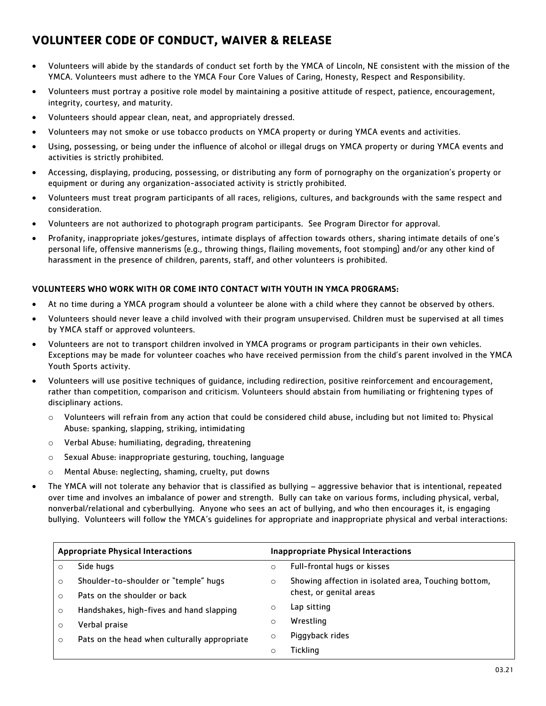## **VOLUNTEER CODE OF CONDUCT, WAIVER & RELEASE**

- Volunteers will abide by the standards of conduct set forth by the YMCA of Lincoln, NE consistent with the mission of the YMCA. Volunteers must adhere to the YMCA Four Core Values of Caring, Honesty, Respect and Responsibility.
- Volunteers must portray a positive role model by maintaining a positive attitude of respect, patience, encouragement, integrity, courtesy, and maturity.
- Volunteers should appear clean, neat, and appropriately dressed.
- Volunteers may not smoke or use tobacco products on YMCA property or during YMCA events and activities.
- Using, possessing, or being under the influence of alcohol or illegal drugs on YMCA property or during YMCA events and activities is strictly prohibited.
- Accessing, displaying, producing, possessing, or distributing any form of pornography on the organization's property or equipment or during any organization-associated activity is strictly prohibited.
- Volunteers must treat program participants of all races, religions, cultures, and backgrounds with the same respect and consideration.
- Volunteers are not authorized to photograph program participants. See Program Director for approval.
- Profanity, inappropriate jokes/gestures, intimate displays of affection towards others, sharing intimate details of one's personal life, offensive mannerisms (e.g., throwing things, flailing movements, foot stomping) and/or any other kind of harassment in the presence of children, parents, staff, and other volunteers is prohibited.

## VOLUNTEERS WHO WORK WITH OR COME INTO CONTACT WITH YOUTH IN YMCA PROGRAMS:

- At no time during a YMCA program should a volunteer be alone with a child where they cannot be observed by others.
- Volunteers should never leave a child involved with their program unsupervised. Children must be supervised at all times by YMCA staff or approved volunteers.
- Volunteers are not to transport children involved in YMCA programs or program participants in their own vehicles. Exceptions may be made for volunteer coaches who have received permission from the child's parent involved in the YMCA Youth Sports activity.
- Volunteers will use positive techniques of guidance, including redirection, positive reinforcement and encouragement, rather than competition, comparison and criticism. Volunteers should abstain from humiliating or frightening types of disciplinary actions.
	- o Volunteers will refrain from any action that could be considered child abuse, including but not limited to: Physical Abuse: spanking, slapping, striking, intimidating
	- o Verbal Abuse: humiliating, degrading, threatening
	- o Sexual Abuse: inappropriate gesturing, touching, language
	- o Mental Abuse: neglecting, shaming, cruelty, put downs
- The YMCA will not tolerate any behavior that is classified as bullying aggressive behavior that is intentional, repeated over time and involves an imbalance of power and strength. Bully can take on various forms, including physical, verbal, nonverbal/relational and cyberbullying. Anyone who sees an act of bullying, and who then encourages it, is engaging bullying. Volunteers will follow the YMCA's guidelines for appropriate and inappropriate physical and verbal interactions:

| <b>Appropriate Physical Interactions</b> |                                              | <b>Inappropriate Physical Interactions</b> |                                                      |
|------------------------------------------|----------------------------------------------|--------------------------------------------|------------------------------------------------------|
| O                                        | Side hugs                                    | O                                          | Full-frontal hugs or kisses                          |
| $\circ$                                  | Shoulder-to-shoulder or "temple" hugs        | $\circ$                                    | Showing affection in isolated area, Touching bottom, |
| $\Omega$                                 | Pats on the shoulder or back                 |                                            | chest, or genital areas                              |
| $\circ$                                  | Handshakes, high-fives and hand slapping     | O                                          | Lap sitting                                          |
| O                                        | Verbal praise                                | $\circ$                                    | Wrestling                                            |
| $\circ$                                  | Pats on the head when culturally appropriate | $\circ$                                    | Piggyback rides                                      |
|                                          |                                              | O                                          | Tickling                                             |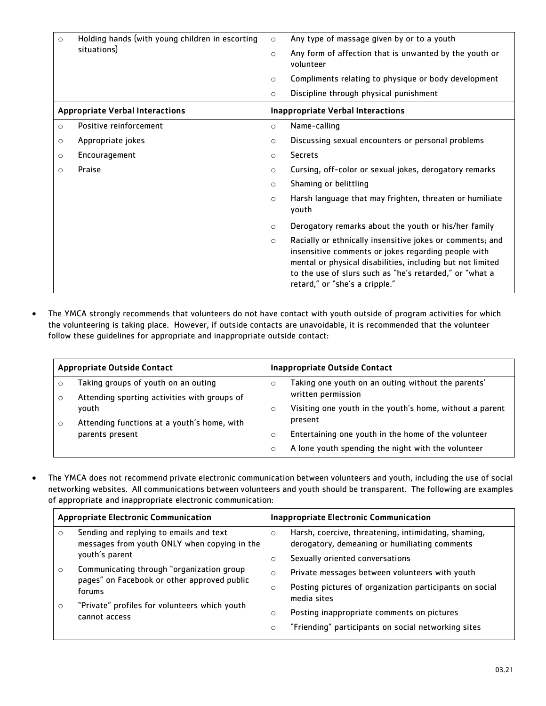| $\circ$                                | Holding hands (with young children in escorting<br>situations) | $\circ$                                  | Any type of massage given by or to a youth                                                                                                                                                                                                                                  |
|----------------------------------------|----------------------------------------------------------------|------------------------------------------|-----------------------------------------------------------------------------------------------------------------------------------------------------------------------------------------------------------------------------------------------------------------------------|
|                                        |                                                                | $\circ$                                  | Any form of affection that is unwanted by the youth or<br>volunteer                                                                                                                                                                                                         |
|                                        |                                                                | $\circ$                                  | Compliments relating to physique or body development                                                                                                                                                                                                                        |
|                                        |                                                                | $\circ$                                  | Discipline through physical punishment                                                                                                                                                                                                                                      |
| <b>Appropriate Verbal Interactions</b> |                                                                | <b>Inappropriate Verbal Interactions</b> |                                                                                                                                                                                                                                                                             |
| $\circ$                                | Positive reinforcement                                         | $\circ$                                  | Name-calling                                                                                                                                                                                                                                                                |
| $\circ$                                | Appropriate jokes                                              | $\circ$                                  | Discussing sexual encounters or personal problems                                                                                                                                                                                                                           |
| $\circ$                                | Encouragement                                                  | $\circ$                                  | <b>Secrets</b>                                                                                                                                                                                                                                                              |
| O                                      | Praise                                                         | $\circ$                                  | Cursing, off-color or sexual jokes, derogatory remarks                                                                                                                                                                                                                      |
|                                        |                                                                | $\circ$                                  | Shaming or belittling                                                                                                                                                                                                                                                       |
|                                        |                                                                | $\circ$                                  | Harsh language that may frighten, threaten or humiliate<br>youth                                                                                                                                                                                                            |
|                                        |                                                                | $\circ$                                  | Derogatory remarks about the youth or his/her family                                                                                                                                                                                                                        |
|                                        |                                                                | $\circ$                                  | Racially or ethnically insensitive jokes or comments; and<br>insensitive comments or jokes regarding people with<br>mental or physical disabilities, including but not limited<br>to the use of slurs such as "he's retarded," or "what a<br>retard," or "she's a cripple." |

 The YMCA strongly recommends that volunteers do not have contact with youth outside of program activities for which the volunteering is taking place. However, if outside contacts are unavoidable, it is recommended that the volunteer follow these guidelines for appropriate and inappropriate outside contact:

| <b>Appropriate Outside Contact</b> |                                                                                                                         | Inappropriate Outside Contact |                                                                          |
|------------------------------------|-------------------------------------------------------------------------------------------------------------------------|-------------------------------|--------------------------------------------------------------------------|
|                                    | Taking groups of youth on an outing                                                                                     | $\circ$                       | Taking one youth on an outing without the parents'<br>written permission |
|                                    | Attending sporting activities with groups of<br>youth<br>Attending functions at a youth's home, with<br>parents present | $\circ$                       | Visiting one youth in the youth's home, without a parent<br>present      |
|                                    |                                                                                                                         | O                             | Entertaining one youth in the home of the volunteer                      |
|                                    |                                                                                                                         | O                             | A lone youth spending the night with the volunteer                       |

 The YMCA does not recommend private electronic communication between volunteers and youth, including the use of social networking websites. All communications between volunteers and youth should be transparent. The following are examples of appropriate and inappropriate electronic communication:

| <b>Appropriate Electronic Communication</b> |                                                                                                    | <b>Inappropriate Electronic Communication</b> |                                                                                                       |
|---------------------------------------------|----------------------------------------------------------------------------------------------------|-----------------------------------------------|-------------------------------------------------------------------------------------------------------|
| $\circ$                                     | Sending and replying to emails and text<br>messages from youth ONLY when copying in the            | $\circ$                                       | Harsh, coercive, threatening, intimidating, shaming,<br>derogatory, demeaning or humiliating comments |
|                                             | youth's parent                                                                                     | $\circ$                                       | Sexually oriented conversations                                                                       |
| $\circ$                                     | Communicating through "organization group<br>pages" on Facebook or other approved public<br>forums | $\circ$                                       | Private messages between volunteers with youth                                                        |
|                                             |                                                                                                    | O                                             | Posting pictures of organization participants on social<br>media sites                                |
| $\circ$                                     | "Private" profiles for volunteers which youth<br>cannot access                                     |                                               |                                                                                                       |
|                                             |                                                                                                    | $\circ$                                       | Posting inappropriate comments on pictures                                                            |
|                                             |                                                                                                    | O                                             | "Friending" participants on social networking sites                                                   |